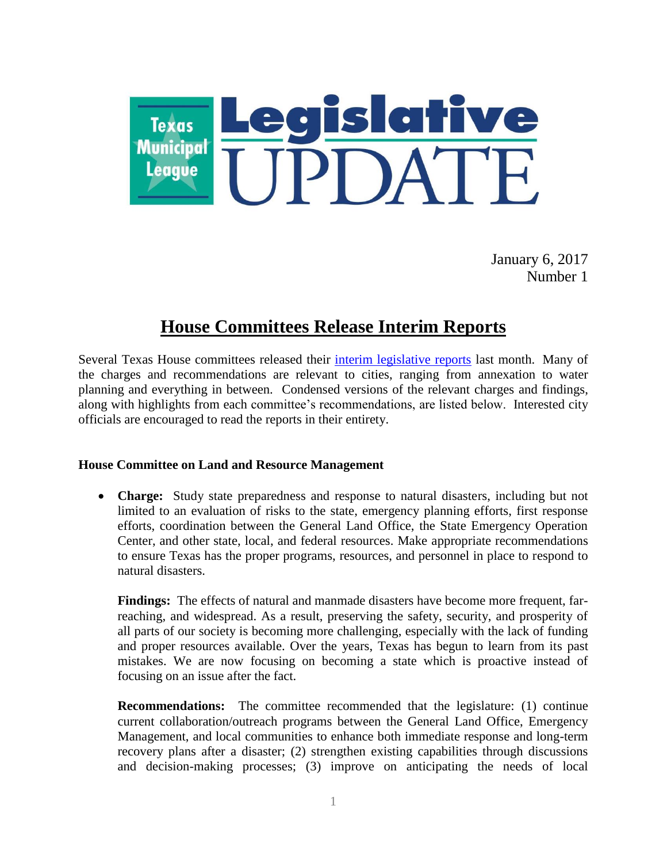

January 6, 2017 Number 1

# **House Committees Release Interim Reports**

Several Texas House committees released their [interim legislative reports](http://www.house.state.tx.us/committees/reports/) last month. Many of the charges and recommendations are relevant to cities, ranging from annexation to water planning and everything in between. Condensed versions of the relevant charges and findings, along with highlights from each committee's recommendations, are listed below. Interested city officials are encouraged to read the reports in their entirety.

## **House Committee on Land and Resource Management**

 **Charge:** Study state preparedness and response to natural disasters, including but not limited to an evaluation of risks to the state, emergency planning efforts, first response efforts, coordination between the General Land Office, the State Emergency Operation Center, and other state, local, and federal resources. Make appropriate recommendations to ensure Texas has the proper programs, resources, and personnel in place to respond to natural disasters.

**Findings:** The effects of natural and manmade disasters have become more frequent, farreaching, and widespread. As a result, preserving the safety, security, and prosperity of all parts of our society is becoming more challenging, especially with the lack of funding and proper resources available. Over the years, Texas has begun to learn from its past mistakes. We are now focusing on becoming a state which is proactive instead of focusing on an issue after the fact.

**Recommendations:** The committee recommended that the legislature: (1) continue current collaboration/outreach programs between the General Land Office, Emergency Management, and local communities to enhance both immediate response and long-term recovery plans after a disaster; (2) strengthen existing capabilities through discussions and decision-making processes; (3) improve on anticipating the needs of local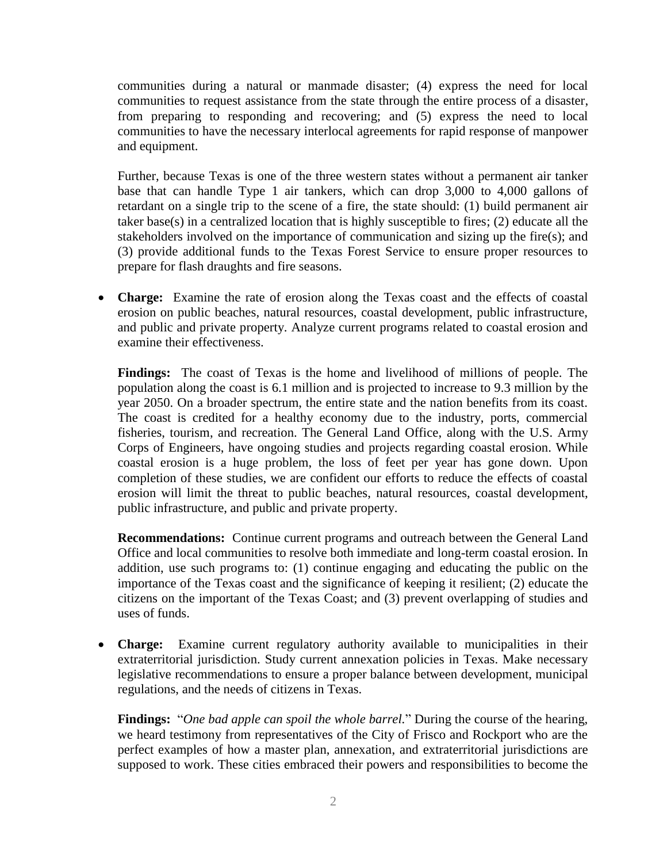communities during a natural or manmade disaster; (4) express the need for local communities to request assistance from the state through the entire process of a disaster, from preparing to responding and recovering; and (5) express the need to local communities to have the necessary interlocal agreements for rapid response of manpower and equipment.

Further, because Texas is one of the three western states without a permanent air tanker base that can handle Type 1 air tankers, which can drop 3,000 to 4,000 gallons of retardant on a single trip to the scene of a fire, the state should: (1) build permanent air taker base(s) in a centralized location that is highly susceptible to fires; (2) educate all the stakeholders involved on the importance of communication and sizing up the fire(s); and (3) provide additional funds to the Texas Forest Service to ensure proper resources to prepare for flash draughts and fire seasons.

 **Charge:** Examine the rate of erosion along the Texas coast and the effects of coastal erosion on public beaches, natural resources, coastal development, public infrastructure, and public and private property. Analyze current programs related to coastal erosion and examine their effectiveness.

**Findings:** The coast of Texas is the home and livelihood of millions of people. The population along the coast is 6.1 million and is projected to increase to 9.3 million by the year 2050. On a broader spectrum, the entire state and the nation benefits from its coast. The coast is credited for a healthy economy due to the industry, ports, commercial fisheries, tourism, and recreation. The General Land Office, along with the U.S. Army Corps of Engineers, have ongoing studies and projects regarding coastal erosion. While coastal erosion is a huge problem, the loss of feet per year has gone down. Upon completion of these studies, we are confident our efforts to reduce the effects of coastal erosion will limit the threat to public beaches, natural resources, coastal development, public infrastructure, and public and private property.

**Recommendations:** Continue current programs and outreach between the General Land Office and local communities to resolve both immediate and long-term coastal erosion. In addition, use such programs to: (1) continue engaging and educating the public on the importance of the Texas coast and the significance of keeping it resilient; (2) educate the citizens on the important of the Texas Coast; and (3) prevent overlapping of studies and uses of funds.

 **Charge:** Examine current regulatory authority available to municipalities in their extraterritorial jurisdiction. Study current annexation policies in Texas. Make necessary legislative recommendations to ensure a proper balance between development, municipal regulations, and the needs of citizens in Texas.

**Findings:** "*One bad apple can spoil the whole barrel.*" During the course of the hearing, we heard testimony from representatives of the City of Frisco and Rockport who are the perfect examples of how a master plan, annexation, and extraterritorial jurisdictions are supposed to work. These cities embraced their powers and responsibilities to become the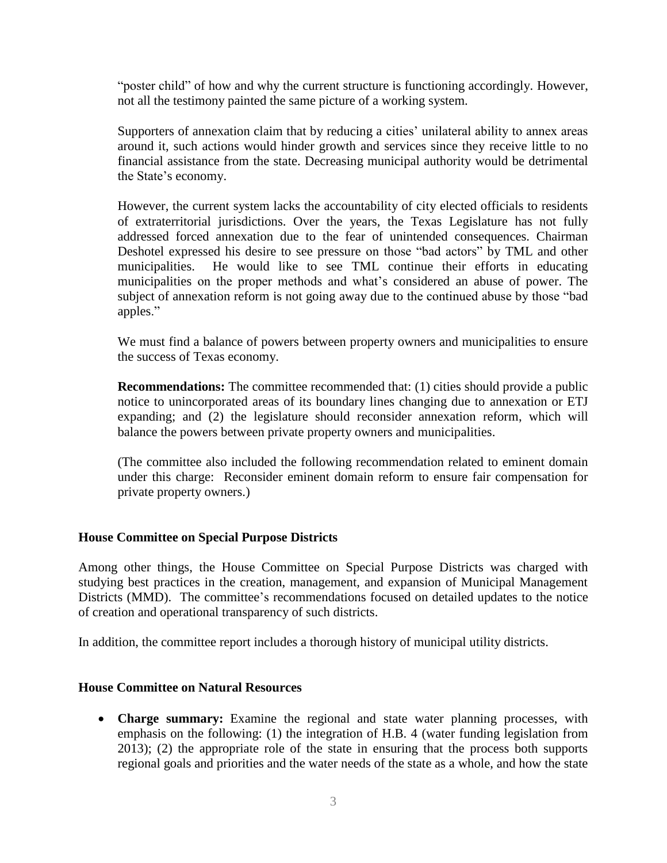"poster child" of how and why the current structure is functioning accordingly. However, not all the testimony painted the same picture of a working system.

Supporters of annexation claim that by reducing a cities' unilateral ability to annex areas around it, such actions would hinder growth and services since they receive little to no financial assistance from the state. Decreasing municipal authority would be detrimental the State's economy.

However, the current system lacks the accountability of city elected officials to residents of extraterritorial jurisdictions. Over the years, the Texas Legislature has not fully addressed forced annexation due to the fear of unintended consequences. Chairman Deshotel expressed his desire to see pressure on those "bad actors" by TML and other municipalities. He would like to see TML continue their efforts in educating municipalities on the proper methods and what's considered an abuse of power. The subject of annexation reform is not going away due to the continued abuse by those "bad apples."

We must find a balance of powers between property owners and municipalities to ensure the success of Texas economy.

**Recommendations:** The committee recommended that: (1) cities should provide a public notice to unincorporated areas of its boundary lines changing due to annexation or ETJ expanding; and (2) the legislature should reconsider annexation reform, which will balance the powers between private property owners and municipalities.

(The committee also included the following recommendation related to eminent domain under this charge: Reconsider eminent domain reform to ensure fair compensation for private property owners.)

## **House Committee on Special Purpose Districts**

Among other things, the House Committee on Special Purpose Districts was charged with studying best practices in the creation, management, and expansion of Municipal Management Districts (MMD). The committee's recommendations focused on detailed updates to the notice of creation and operational transparency of such districts.

In addition, the committee report includes a thorough history of municipal utility districts.

## **House Committee on Natural Resources**

 **Charge summary:** Examine the regional and state water planning processes, with emphasis on the following: (1) the integration of H.B. 4 (water funding legislation from 2013); (2) the appropriate role of the state in ensuring that the process both supports regional goals and priorities and the water needs of the state as a whole, and how the state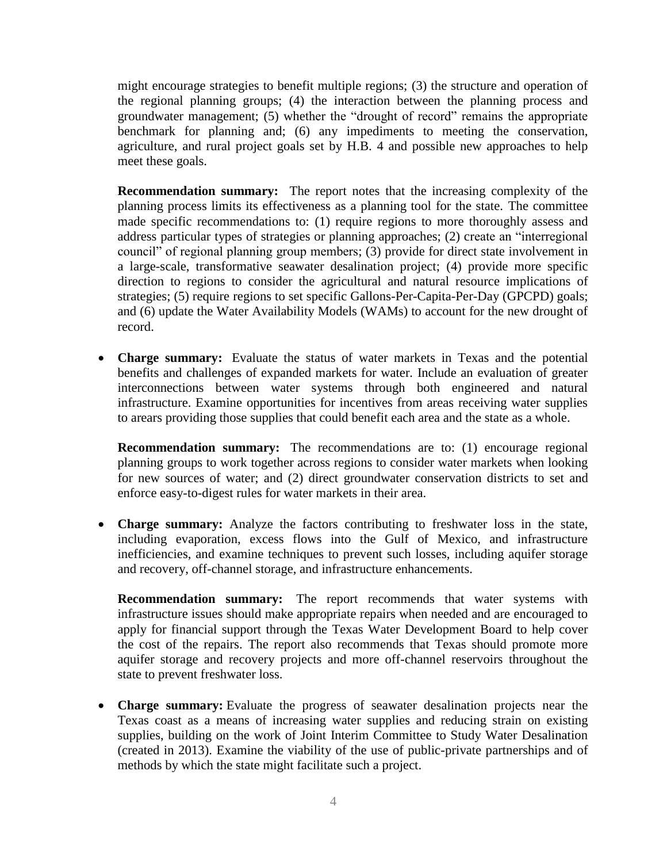might encourage strategies to benefit multiple regions; (3) the structure and operation of the regional planning groups; (4) the interaction between the planning process and groundwater management; (5) whether the "drought of record" remains the appropriate benchmark for planning and; (6) any impediments to meeting the conservation, agriculture, and rural project goals set by H.B. 4 and possible new approaches to help meet these goals.

**Recommendation summary:** The report notes that the increasing complexity of the planning process limits its effectiveness as a planning tool for the state. The committee made specific recommendations to: (1) require regions to more thoroughly assess and address particular types of strategies or planning approaches; (2) create an "interregional council" of regional planning group members; (3) provide for direct state involvement in a large-scale, transformative seawater desalination project; (4) provide more specific direction to regions to consider the agricultural and natural resource implications of strategies; (5) require regions to set specific Gallons-Per-Capita-Per-Day (GPCPD) goals; and (6) update the Water Availability Models (WAMs) to account for the new drought of record.

 **Charge summary:** Evaluate the status of water markets in Texas and the potential benefits and challenges of expanded markets for water. Include an evaluation of greater interconnections between water systems through both engineered and natural infrastructure. Examine opportunities for incentives from areas receiving water supplies to arears providing those supplies that could benefit each area and the state as a whole.

**Recommendation summary:** The recommendations are to: (1) encourage regional planning groups to work together across regions to consider water markets when looking for new sources of water; and (2) direct groundwater conservation districts to set and enforce easy-to-digest rules for water markets in their area.

 **Charge summary:** Analyze the factors contributing to freshwater loss in the state, including evaporation, excess flows into the Gulf of Mexico, and infrastructure inefficiencies, and examine techniques to prevent such losses, including aquifer storage and recovery, off-channel storage, and infrastructure enhancements.

**Recommendation summary:** The report recommends that water systems with infrastructure issues should make appropriate repairs when needed and are encouraged to apply for financial support through the Texas Water Development Board to help cover the cost of the repairs. The report also recommends that Texas should promote more aquifer storage and recovery projects and more off-channel reservoirs throughout the state to prevent freshwater loss.

 **Charge summary:** Evaluate the progress of seawater desalination projects near the Texas coast as a means of increasing water supplies and reducing strain on existing supplies, building on the work of Joint Interim Committee to Study Water Desalination (created in 2013). Examine the viability of the use of public-private partnerships and of methods by which the state might facilitate such a project.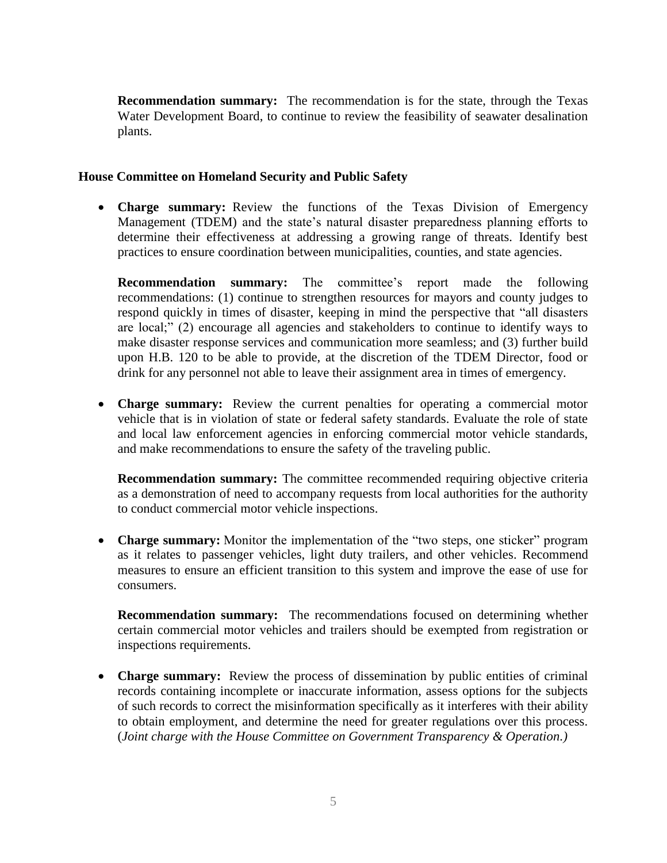**Recommendation summary:** The recommendation is for the state, through the Texas Water Development Board, to continue to review the feasibility of seawater desalination plants.

#### **House Committee on Homeland Security and Public Safety**

 **Charge summary:** Review the functions of the Texas Division of Emergency Management (TDEM) and the state's natural disaster preparedness planning efforts to determine their effectiveness at addressing a growing range of threats. Identify best practices to ensure coordination between municipalities, counties, and state agencies.

**Recommendation summary:** The committee's report made the following recommendations: (1) continue to strengthen resources for mayors and county judges to respond quickly in times of disaster, keeping in mind the perspective that "all disasters are local;" (2) encourage all agencies and stakeholders to continue to identify ways to make disaster response services and communication more seamless; and (3) further build upon H.B. 120 to be able to provide, at the discretion of the TDEM Director, food or drink for any personnel not able to leave their assignment area in times of emergency.

 **Charge summary:** Review the current penalties for operating a commercial motor vehicle that is in violation of state or federal safety standards. Evaluate the role of state and local law enforcement agencies in enforcing commercial motor vehicle standards, and make recommendations to ensure the safety of the traveling public.

**Recommendation summary:** The committee recommended requiring objective criteria as a demonstration of need to accompany requests from local authorities for the authority to conduct commercial motor vehicle inspections.

• **Charge summary:** Monitor the implementation of the "two steps, one sticker" program as it relates to passenger vehicles, light duty trailers, and other vehicles. Recommend measures to ensure an efficient transition to this system and improve the ease of use for consumers.

**Recommendation summary:** The recommendations focused on determining whether certain commercial motor vehicles and trailers should be exempted from registration or inspections requirements.

 **Charge summary:** Review the process of dissemination by public entities of criminal records containing incomplete or inaccurate information, assess options for the subjects of such records to correct the misinformation specifically as it interferes with their ability to obtain employment, and determine the need for greater regulations over this process. (*Joint charge with the House Committee on Government Transparency & Operation.)*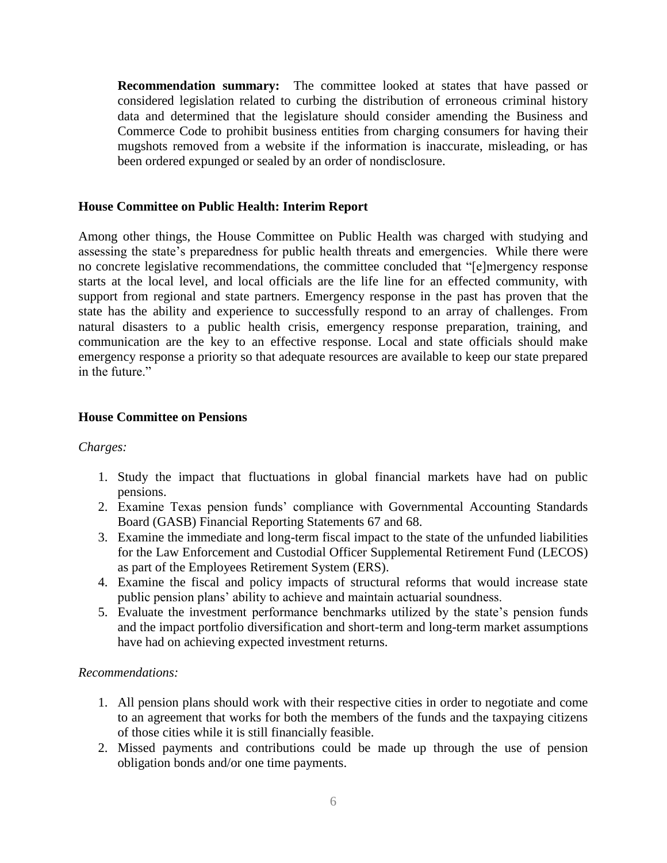**Recommendation summary:** The committee looked at states that have passed or considered legislation related to curbing the distribution of erroneous criminal history data and determined that the legislature should consider amending the Business and Commerce Code to prohibit business entities from charging consumers for having their mugshots removed from a website if the information is inaccurate, misleading, or has been ordered expunged or sealed by an order of nondisclosure.

## **House Committee on Public Health: Interim Report**

Among other things, the House Committee on Public Health was charged with studying and assessing the state's preparedness for public health threats and emergencies. While there were no concrete legislative recommendations, the committee concluded that "[e]mergency response starts at the local level, and local officials are the life line for an effected community, with support from regional and state partners. Emergency response in the past has proven that the state has the ability and experience to successfully respond to an array of challenges. From natural disasters to a public health crisis, emergency response preparation, training, and communication are the key to an effective response. Local and state officials should make emergency response a priority so that adequate resources are available to keep our state prepared in the future."

## **House Committee on Pensions**

## *Charges:*

- 1. Study the impact that fluctuations in global financial markets have had on public pensions.
- 2. Examine Texas pension funds' compliance with Governmental Accounting Standards Board (GASB) Financial Reporting Statements 67 and 68.
- 3. Examine the immediate and long-term fiscal impact to the state of the unfunded liabilities for the Law Enforcement and Custodial Officer Supplemental Retirement Fund (LECOS) as part of the Employees Retirement System (ERS).
- 4. Examine the fiscal and policy impacts of structural reforms that would increase state public pension plans' ability to achieve and maintain actuarial soundness.
- 5. Evaluate the investment performance benchmarks utilized by the state's pension funds and the impact portfolio diversification and short-term and long-term market assumptions have had on achieving expected investment returns.

## *Recommendations:*

- 1. All pension plans should work with their respective cities in order to negotiate and come to an agreement that works for both the members of the funds and the taxpaying citizens of those cities while it is still financially feasible.
- 2. Missed payments and contributions could be made up through the use of pension obligation bonds and/or one time payments.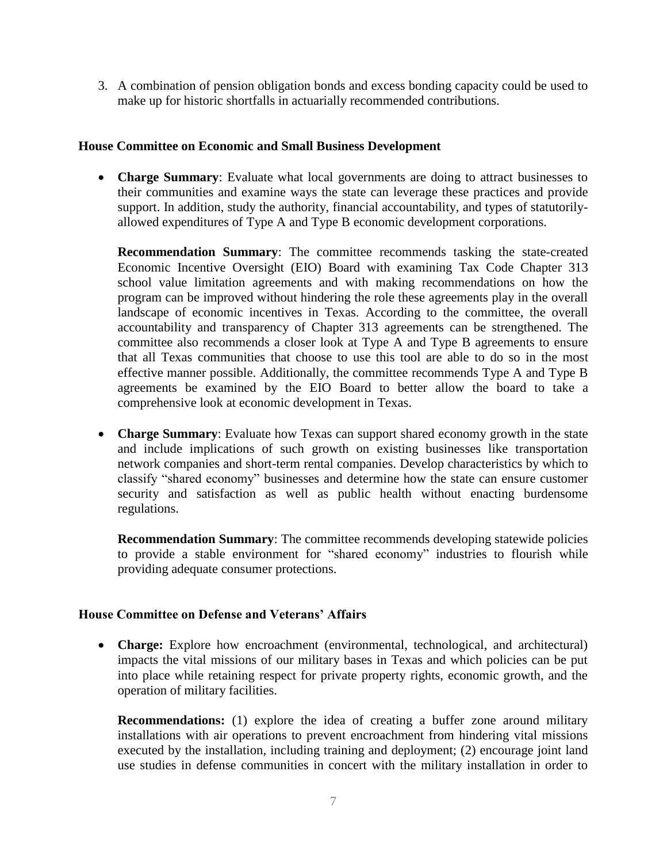3. A combination of pension obligation bonds and excess bonding capacity could be used to make up for historic shortfalls in actuarially recommended contributions.

#### **House Committee on Economic and Small Business Development**

 **Charge Summary**: Evaluate what local governments are doing to attract businesses to their communities and examine ways the state can leverage these practices and provide support. In addition, study the authority, financial accountability, and types of statutorilyallowed expenditures of Type A and Type B economic development corporations.

**Recommendation Summary**: The committee recommends tasking the state-created Economic Incentive Oversight (EIO) Board with examining Tax Code Chapter 313 school value limitation agreements and with making recommendations on how the program can be improved without hindering the role these agreements play in the overall landscape of economic incentives in Texas. According to the committee, the overall accountability and transparency of Chapter 313 agreements can be strengthened. The committee also recommends a closer look at Type A and Type B agreements to ensure that all Texas communities that choose to use this tool are able to do so in the most effective manner possible. Additionally, the committee recommends Type A and Type B agreements be examined by the EIO Board to better allow the board to take a comprehensive look at economic development in Texas.

 **Charge Summary**: Evaluate how Texas can support shared economy growth in the state and include implications of such growth on existing businesses like transportation network companies and short-term rental companies. Develop characteristics by which to classify "shared economy" businesses and determine how the state can ensure customer security and satisfaction as well as public health without enacting burdensome regulations.

**Recommendation Summary**: The committee recommends developing statewide policies to provide a stable environment for "shared economy" industries to flourish while providing adequate consumer protections.

## **House Committee on Defense and Veterans' Affairs**

 **Charge:** Explore how encroachment (environmental, technological, and architectural) impacts the vital missions of our military bases in Texas and which policies can be put into place while retaining respect for private property rights, economic growth, and the operation of military facilities.

**Recommendations:** (1) explore the idea of creating a buffer zone around military installations with air operations to prevent encroachment from hindering vital missions executed by the installation, including training and deployment; (2) encourage joint land use studies in defense communities in concert with the military installation in order to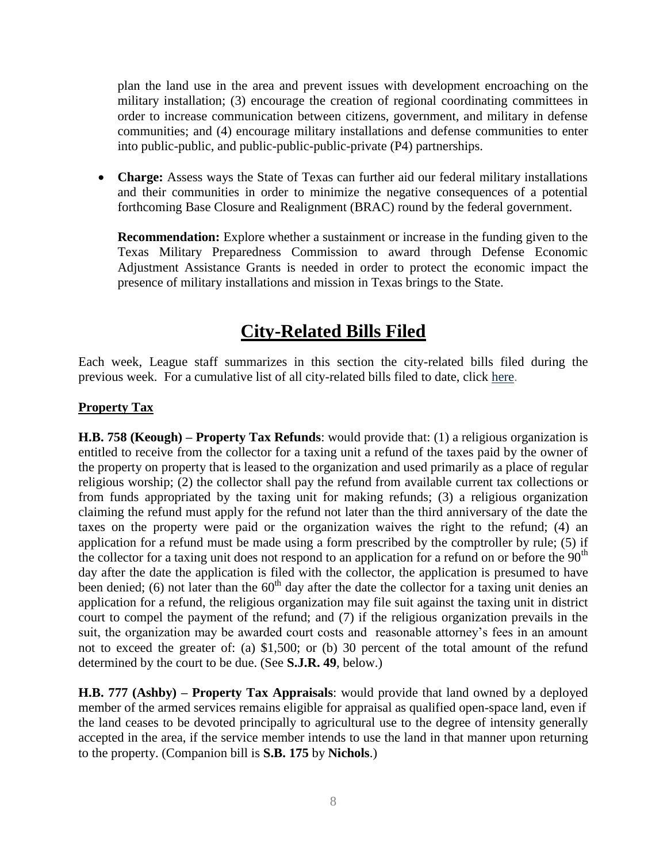plan the land use in the area and prevent issues with development encroaching on the military installation; (3) encourage the creation of regional coordinating committees in order to increase communication between citizens, government, and military in defense communities; and (4) encourage military installations and defense communities to enter into public-public, and public-public-public-private (P4) partnerships.

• **Charge:** Assess ways the State of Texas can further aid our federal military installations and their communities in order to minimize the negative consequences of a potential forthcoming Base Closure and Realignment (BRAC) round by the federal government.

**Recommendation:** Explore whether a sustainment or increase in the funding given to the Texas Military Preparedness Commission to award through Defense Economic Adjustment Assistance Grants is needed in order to protect the economic impact the presence of military installations and mission in Texas brings to the State.

# **City-Related Bills Filed**

Each week, League staff summarizes in this section the city-related bills filed during the previous week. For a cumulative list of all city-related bills filed to date, click [here.](http://www.tml.org/p/CityRelatedBills1_5_2017.pdf)

## **Property Tax**

**H.B. 758 (Keough) – Property Tax Refunds**: would provide that: (1) a religious organization is entitled to receive from the collector for a taxing unit a refund of the taxes paid by the owner of the property on property that is leased to the organization and used primarily as a place of regular religious worship; (2) the collector shall pay the refund from available current tax collections or from funds appropriated by the taxing unit for making refunds; (3) a religious organization claiming the refund must apply for the refund not later than the third anniversary of the date the taxes on the property were paid or the organization waives the right to the refund; (4) an application for a refund must be made using a form prescribed by the comptroller by rule; (5) if the collector for a taxing unit does not respond to an application for a refund on or before the  $90<sup>th</sup>$ day after the date the application is filed with the collector, the application is presumed to have been denied; (6) not later than the  $60<sup>th</sup>$  day after the date the collector for a taxing unit denies an application for a refund, the religious organization may file suit against the taxing unit in district court to compel the payment of the refund; and (7) if the religious organization prevails in the suit, the organization may be awarded court costs and reasonable attorney's fees in an amount not to exceed the greater of: (a) \$1,500; or (b) 30 percent of the total amount of the refund determined by the court to be due. (See **S.J.R. 49**, below.)

**H.B. 777 (Ashby) – Property Tax Appraisals**: would provide that land owned by a deployed member of the armed services remains eligible for appraisal as qualified open-space land, even if the land ceases to be devoted principally to agricultural use to the degree of intensity generally accepted in the area, if the service member intends to use the land in that manner upon returning to the property. (Companion bill is **S.B. 175** by **Nichols**.)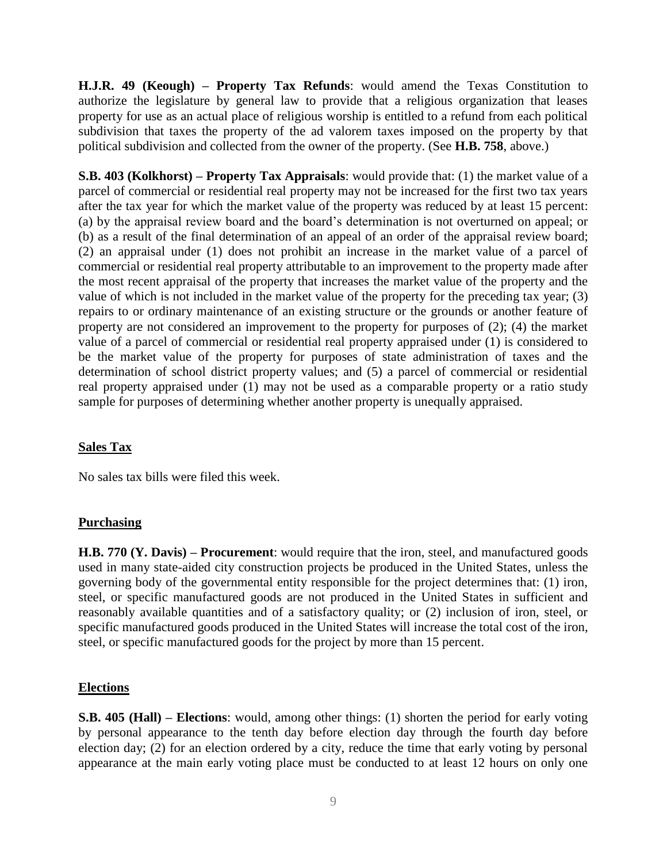**H.J.R. 49 (Keough) – Property Tax Refunds**: would amend the Texas Constitution to authorize the legislature by general law to provide that a religious organization that leases property for use as an actual place of religious worship is entitled to a refund from each political subdivision that taxes the property of the ad valorem taxes imposed on the property by that political subdivision and collected from the owner of the property. (See **H.B. 758**, above.)

**S.B. 403 (Kolkhorst) – Property Tax Appraisals**: would provide that: (1) the market value of a parcel of commercial or residential real property may not be increased for the first two tax years after the tax year for which the market value of the property was reduced by at least 15 percent: (a) by the appraisal review board and the board's determination is not overturned on appeal; or (b) as a result of the final determination of an appeal of an order of the appraisal review board; (2) an appraisal under (1) does not prohibit an increase in the market value of a parcel of commercial or residential real property attributable to an improvement to the property made after the most recent appraisal of the property that increases the market value of the property and the value of which is not included in the market value of the property for the preceding tax year; (3) repairs to or ordinary maintenance of an existing structure or the grounds or another feature of property are not considered an improvement to the property for purposes of (2); (4) the market value of a parcel of commercial or residential real property appraised under (1) is considered to be the market value of the property for purposes of state administration of taxes and the determination of school district property values; and (5) a parcel of commercial or residential real property appraised under (1) may not be used as a comparable property or a ratio study sample for purposes of determining whether another property is unequally appraised.

## **Sales Tax**

No sales tax bills were filed this week.

## **Purchasing**

**H.B. 770 (Y. Davis) – Procurement**: would require that the iron, steel, and manufactured goods used in many state-aided city construction projects be produced in the United States, unless the governing body of the governmental entity responsible for the project determines that: (1) iron, steel, or specific manufactured goods are not produced in the United States in sufficient and reasonably available quantities and of a satisfactory quality; or (2) inclusion of iron, steel, or specific manufactured goods produced in the United States will increase the total cost of the iron, steel, or specific manufactured goods for the project by more than 15 percent.

## **Elections**

**S.B. 405 (Hall) – Elections**: would, among other things: (1) shorten the period for early voting by personal appearance to the tenth day before election day through the fourth day before election day; (2) for an election ordered by a city, reduce the time that early voting by personal appearance at the main early voting place must be conducted to at least 12 hours on only one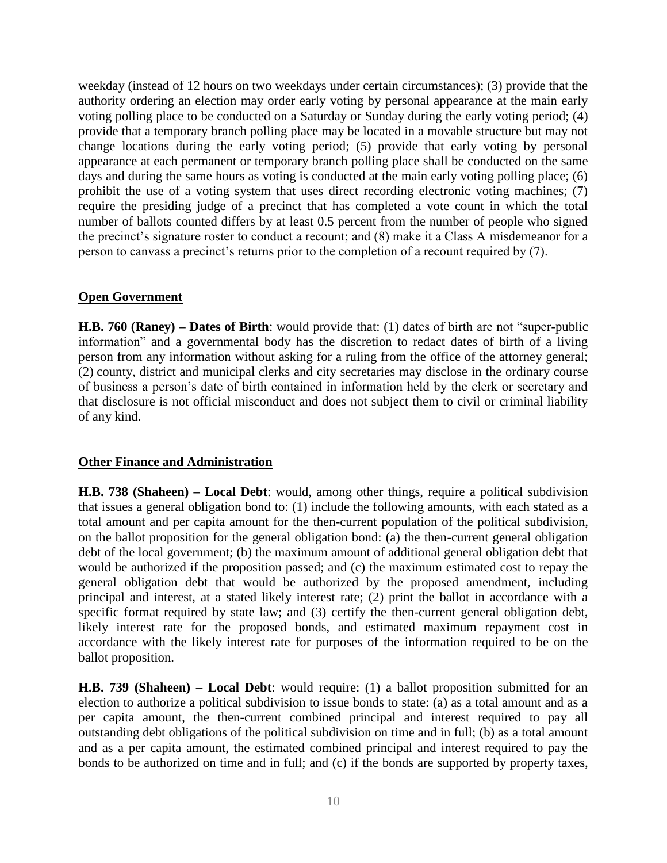weekday (instead of 12 hours on two weekdays under certain circumstances); (3) provide that the authority ordering an election may order early voting by personal appearance at the main early voting polling place to be conducted on a Saturday or Sunday during the early voting period; (4) provide that a temporary branch polling place may be located in a movable structure but may not change locations during the early voting period; (5) provide that early voting by personal appearance at each permanent or temporary branch polling place shall be conducted on the same days and during the same hours as voting is conducted at the main early voting polling place; (6) prohibit the use of a voting system that uses direct recording electronic voting machines; (7) require the presiding judge of a precinct that has completed a vote count in which the total number of ballots counted differs by at least 0.5 percent from the number of people who signed the precinct's signature roster to conduct a recount; and (8) make it a Class A misdemeanor for a person to canvass a precinct's returns prior to the completion of a recount required by (7).

## **Open Government**

**H.B. 760 (Raney) – Dates of Birth**: would provide that: (1) dates of birth are not "super-public information" and a governmental body has the discretion to redact dates of birth of a living person from any information without asking for a ruling from the office of the attorney general; (2) county, district and municipal clerks and city secretaries may disclose in the ordinary course of business a person's date of birth contained in information held by the clerk or secretary and that disclosure is not official misconduct and does not subject them to civil or criminal liability of any kind.

## **Other Finance and Administration**

**H.B. 738 (Shaheen) – Local Debt**: would, among other things, require a political subdivision that issues a general obligation bond to: (1) include the following amounts, with each stated as a total amount and per capita amount for the then-current population of the political subdivision, on the ballot proposition for the general obligation bond: (a) the then-current general obligation debt of the local government; (b) the maximum amount of additional general obligation debt that would be authorized if the proposition passed; and (c) the maximum estimated cost to repay the general obligation debt that would be authorized by the proposed amendment, including principal and interest, at a stated likely interest rate; (2) print the ballot in accordance with a specific format required by state law; and (3) certify the then-current general obligation debt, likely interest rate for the proposed bonds, and estimated maximum repayment cost in accordance with the likely interest rate for purposes of the information required to be on the ballot proposition.

**H.B. 739 (Shaheen) – Local Debt**: would require: (1) a ballot proposition submitted for an election to authorize a political subdivision to issue bonds to state: (a) as a total amount and as a per capita amount, the then-current combined principal and interest required to pay all outstanding debt obligations of the political subdivision on time and in full; (b) as a total amount and as a per capita amount, the estimated combined principal and interest required to pay the bonds to be authorized on time and in full; and (c) if the bonds are supported by property taxes,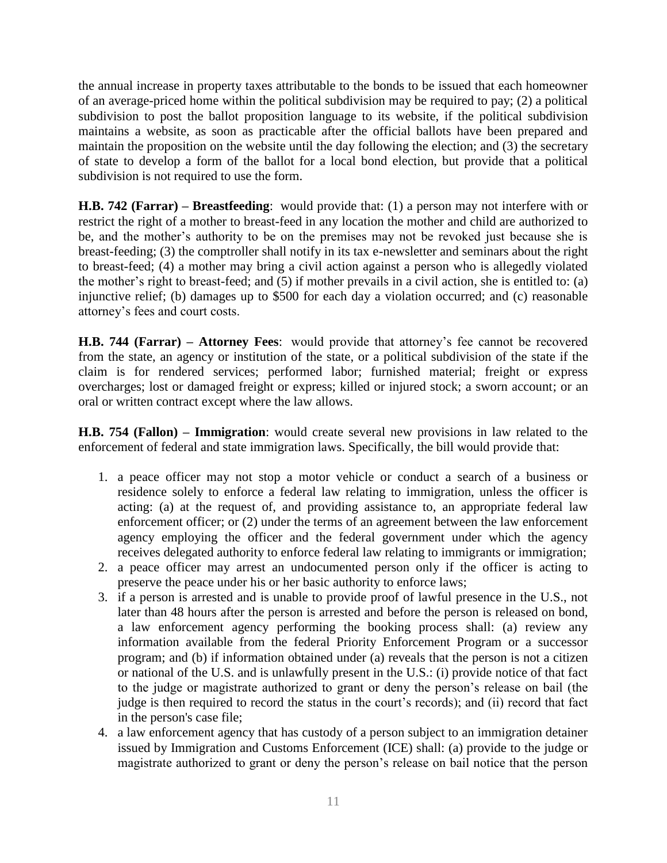the annual increase in property taxes attributable to the bonds to be issued that each homeowner of an average-priced home within the political subdivision may be required to pay; (2) a political subdivision to post the ballot proposition language to its website, if the political subdivision maintains a website, as soon as practicable after the official ballots have been prepared and maintain the proposition on the website until the day following the election; and (3) the secretary of state to develop a form of the ballot for a local bond election, but provide that a political subdivision is not required to use the form.

**H.B. 742 (Farrar) – Breastfeeding**: would provide that: (1) a person may not interfere with or restrict the right of a mother to breast-feed in any location the mother and child are authorized to be, and the mother's authority to be on the premises may not be revoked just because she is breast-feeding; (3) the comptroller shall notify in its tax e-newsletter and seminars about the right to breast-feed; (4) a mother may bring a civil action against a person who is allegedly violated the mother's right to breast-feed; and (5) if mother prevails in a civil action, she is entitled to: (a) injunctive relief; (b) damages up to \$500 for each day a violation occurred; and (c) reasonable attorney's fees and court costs.

**H.B. 744 (Farrar) – Attorney Fees**: would provide that attorney's fee cannot be recovered from the state, an agency or institution of the state, or a political subdivision of the state if the claim is for rendered services; performed labor; furnished material; freight or express overcharges; lost or damaged freight or express; killed or injured stock; a sworn account; or an oral or written contract except where the law allows.

**H.B. 754 (Fallon) – Immigration**: would create several new provisions in law related to the enforcement of federal and state immigration laws. Specifically, the bill would provide that:

- 1. a peace officer may not stop a motor vehicle or conduct a search of a business or residence solely to enforce a federal law relating to immigration, unless the officer is acting: (a) at the request of, and providing assistance to, an appropriate federal law enforcement officer; or (2) under the terms of an agreement between the law enforcement agency employing the officer and the federal government under which the agency receives delegated authority to enforce federal law relating to immigrants or immigration;
- 2. a peace officer may arrest an undocumented person only if the officer is acting to preserve the peace under his or her basic authority to enforce laws;
- 3. if a person is arrested and is unable to provide proof of lawful presence in the U.S., not later than 48 hours after the person is arrested and before the person is released on bond, a law enforcement agency performing the booking process shall: (a) review any information available from the federal Priority Enforcement Program or a successor program; and (b) if information obtained under (a) reveals that the person is not a citizen or national of the U.S. and is unlawfully present in the U.S.: (i) provide notice of that fact to the judge or magistrate authorized to grant or deny the person's release on bail (the judge is then required to record the status in the court's records); and (ii) record that fact in the person's case file;
- 4. a law enforcement agency that has custody of a person subject to an immigration detainer issued by Immigration and Customs Enforcement (ICE) shall: (a) provide to the judge or magistrate authorized to grant or deny the person's release on bail notice that the person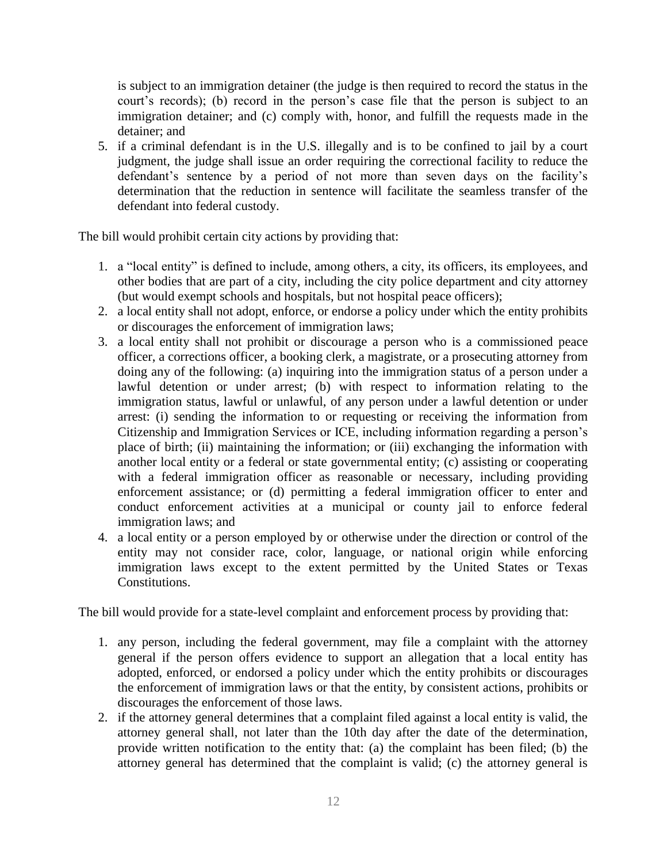is subject to an immigration detainer (the judge is then required to record the status in the court's records); (b) record in the person's case file that the person is subject to an immigration detainer; and (c) comply with, honor, and fulfill the requests made in the detainer; and

5. if a criminal defendant is in the U.S. illegally and is to be confined to jail by a court judgment, the judge shall issue an order requiring the correctional facility to reduce the defendant's sentence by a period of not more than seven days on the facility's determination that the reduction in sentence will facilitate the seamless transfer of the defendant into federal custody.

The bill would prohibit certain city actions by providing that:

- 1. a "local entity" is defined to include, among others, a city, its officers, its employees, and other bodies that are part of a city, including the city police department and city attorney (but would exempt schools and hospitals, but not hospital peace officers);
- 2. a local entity shall not adopt, enforce, or endorse a policy under which the entity prohibits or discourages the enforcement of immigration laws;
- 3. a local entity shall not prohibit or discourage a person who is a commissioned peace officer, a corrections officer, a booking clerk, a magistrate, or a prosecuting attorney from doing any of the following: (a) inquiring into the immigration status of a person under a lawful detention or under arrest; (b) with respect to information relating to the immigration status, lawful or unlawful, of any person under a lawful detention or under arrest: (i) sending the information to or requesting or receiving the information from Citizenship and Immigration Services or ICE, including information regarding a person's place of birth; (ii) maintaining the information; or (iii) exchanging the information with another local entity or a federal or state governmental entity; (c) assisting or cooperating with a federal immigration officer as reasonable or necessary, including providing enforcement assistance; or (d) permitting a federal immigration officer to enter and conduct enforcement activities at a municipal or county jail to enforce federal immigration laws; and
- 4. a local entity or a person employed by or otherwise under the direction or control of the entity may not consider race, color, language, or national origin while enforcing immigration laws except to the extent permitted by the United States or Texas Constitutions.

The bill would provide for a state-level complaint and enforcement process by providing that:

- 1. any person, including the federal government, may file a complaint with the attorney general if the person offers evidence to support an allegation that a local entity has adopted, enforced, or endorsed a policy under which the entity prohibits or discourages the enforcement of immigration laws or that the entity, by consistent actions, prohibits or discourages the enforcement of those laws.
- 2. if the attorney general determines that a complaint filed against a local entity is valid, the attorney general shall, not later than the 10th day after the date of the determination, provide written notification to the entity that: (a) the complaint has been filed; (b) the attorney general has determined that the complaint is valid; (c) the attorney general is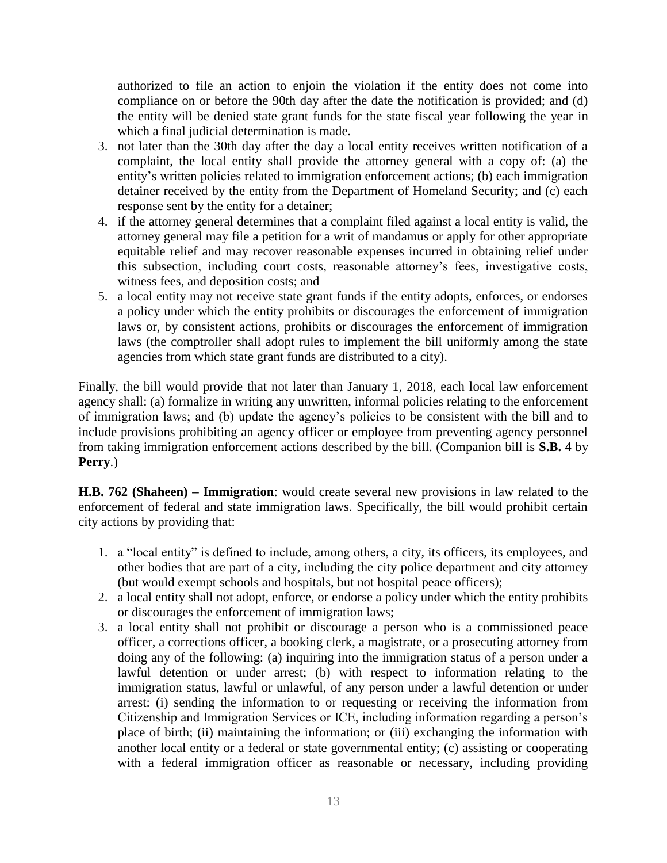authorized to file an action to enjoin the violation if the entity does not come into compliance on or before the 90th day after the date the notification is provided; and (d) the entity will be denied state grant funds for the state fiscal year following the year in which a final judicial determination is made.

- 3. not later than the 30th day after the day a local entity receives written notification of a complaint, the local entity shall provide the attorney general with a copy of: (a) the entity's written policies related to immigration enforcement actions; (b) each immigration detainer received by the entity from the Department of Homeland Security; and (c) each response sent by the entity for a detainer;
- 4. if the attorney general determines that a complaint filed against a local entity is valid, the attorney general may file a petition for a writ of mandamus or apply for other appropriate equitable relief and may recover reasonable expenses incurred in obtaining relief under this subsection, including court costs, reasonable attorney's fees, investigative costs, witness fees, and deposition costs; and
- 5. a local entity may not receive state grant funds if the entity adopts, enforces, or endorses a policy under which the entity prohibits or discourages the enforcement of immigration laws or, by consistent actions, prohibits or discourages the enforcement of immigration laws (the comptroller shall adopt rules to implement the bill uniformly among the state agencies from which state grant funds are distributed to a city).

Finally, the bill would provide that not later than January 1, 2018, each local law enforcement agency shall: (a) formalize in writing any unwritten, informal policies relating to the enforcement of immigration laws; and (b) update the agency's policies to be consistent with the bill and to include provisions prohibiting an agency officer or employee from preventing agency personnel from taking immigration enforcement actions described by the bill. (Companion bill is **S.B. 4** by **Perry**.)

**H.B. 762 (Shaheen) – Immigration**: would create several new provisions in law related to the enforcement of federal and state immigration laws. Specifically, the bill would prohibit certain city actions by providing that:

- 1. a "local entity" is defined to include, among others, a city, its officers, its employees, and other bodies that are part of a city, including the city police department and city attorney (but would exempt schools and hospitals, but not hospital peace officers);
- 2. a local entity shall not adopt, enforce, or endorse a policy under which the entity prohibits or discourages the enforcement of immigration laws;
- 3. a local entity shall not prohibit or discourage a person who is a commissioned peace officer, a corrections officer, a booking clerk, a magistrate, or a prosecuting attorney from doing any of the following: (a) inquiring into the immigration status of a person under a lawful detention or under arrest; (b) with respect to information relating to the immigration status, lawful or unlawful, of any person under a lawful detention or under arrest: (i) sending the information to or requesting or receiving the information from Citizenship and Immigration Services or ICE, including information regarding a person's place of birth; (ii) maintaining the information; or (iii) exchanging the information with another local entity or a federal or state governmental entity; (c) assisting or cooperating with a federal immigration officer as reasonable or necessary, including providing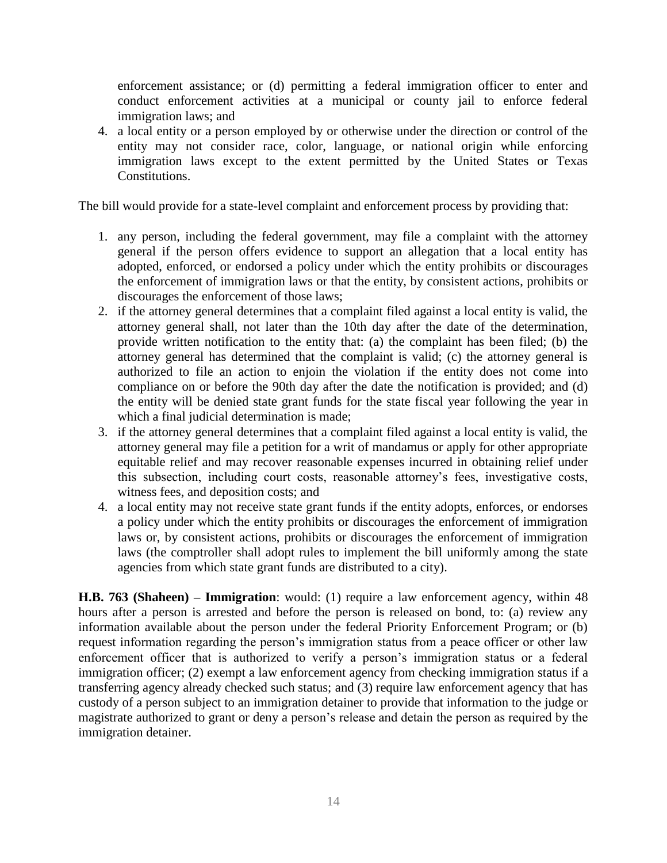enforcement assistance; or (d) permitting a federal immigration officer to enter and conduct enforcement activities at a municipal or county jail to enforce federal immigration laws; and

4. a local entity or a person employed by or otherwise under the direction or control of the entity may not consider race, color, language, or national origin while enforcing immigration laws except to the extent permitted by the United States or Texas Constitutions.

The bill would provide for a state-level complaint and enforcement process by providing that:

- 1. any person, including the federal government, may file a complaint with the attorney general if the person offers evidence to support an allegation that a local entity has adopted, enforced, or endorsed a policy under which the entity prohibits or discourages the enforcement of immigration laws or that the entity, by consistent actions, prohibits or discourages the enforcement of those laws;
- 2. if the attorney general determines that a complaint filed against a local entity is valid, the attorney general shall, not later than the 10th day after the date of the determination, provide written notification to the entity that: (a) the complaint has been filed; (b) the attorney general has determined that the complaint is valid; (c) the attorney general is authorized to file an action to enjoin the violation if the entity does not come into compliance on or before the 90th day after the date the notification is provided; and (d) the entity will be denied state grant funds for the state fiscal year following the year in which a final judicial determination is made;
- 3. if the attorney general determines that a complaint filed against a local entity is valid, the attorney general may file a petition for a writ of mandamus or apply for other appropriate equitable relief and may recover reasonable expenses incurred in obtaining relief under this subsection, including court costs, reasonable attorney's fees, investigative costs, witness fees, and deposition costs; and
- 4. a local entity may not receive state grant funds if the entity adopts, enforces, or endorses a policy under which the entity prohibits or discourages the enforcement of immigration laws or, by consistent actions, prohibits or discourages the enforcement of immigration laws (the comptroller shall adopt rules to implement the bill uniformly among the state agencies from which state grant funds are distributed to a city).

**H.B. 763 (Shaheen) – Immigration**: would: (1) require a law enforcement agency, within 48 hours after a person is arrested and before the person is released on bond, to: (a) review any information available about the person under the federal Priority Enforcement Program; or (b) request information regarding the person's immigration status from a peace officer or other law enforcement officer that is authorized to verify a person's immigration status or a federal immigration officer; (2) exempt a law enforcement agency from checking immigration status if a transferring agency already checked such status; and (3) require law enforcement agency that has custody of a person subject to an immigration detainer to provide that information to the judge or magistrate authorized to grant or deny a person's release and detain the person as required by the immigration detainer.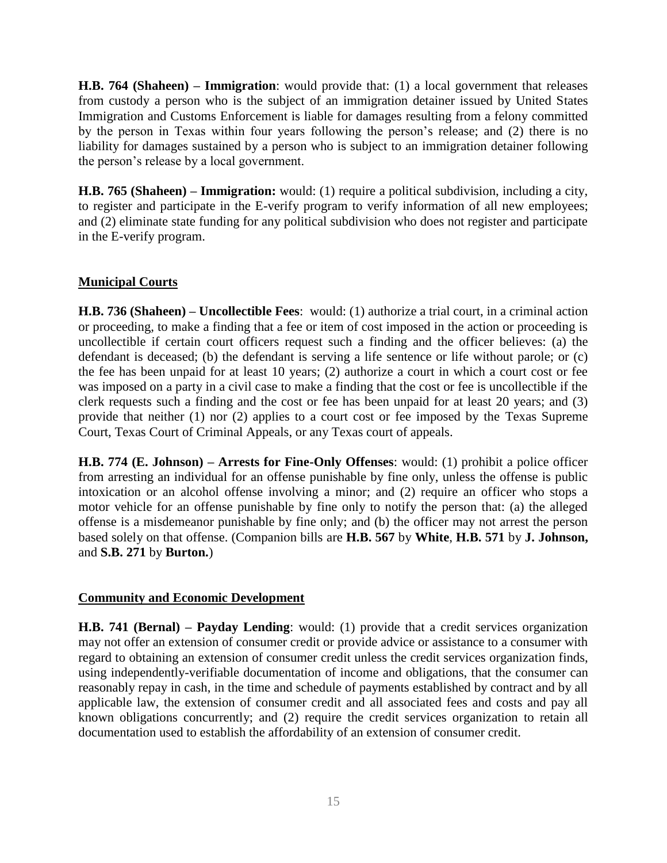**H.B. 764 (Shaheen) – Immigration**: would provide that: (1) a local government that releases from custody a person who is the subject of an immigration detainer issued by United States Immigration and Customs Enforcement is liable for damages resulting from a felony committed by the person in Texas within four years following the person's release; and (2) there is no liability for damages sustained by a person who is subject to an immigration detainer following the person's release by a local government.

**H.B. 765 (Shaheen) – Immigration:** would: (1) require a political subdivision, including a city, to register and participate in the E-verify program to verify information of all new employees; and (2) eliminate state funding for any political subdivision who does not register and participate in the E-verify program.

## **Municipal Courts**

**H.B. 736 (Shaheen) – Uncollectible Fees**: would: (1) authorize a trial court, in a criminal action or proceeding, to make a finding that a fee or item of cost imposed in the action or proceeding is uncollectible if certain court officers request such a finding and the officer believes: (a) the defendant is deceased; (b) the defendant is serving a life sentence or life without parole; or (c) the fee has been unpaid for at least 10 years; (2) authorize a court in which a court cost or fee was imposed on a party in a civil case to make a finding that the cost or fee is uncollectible if the clerk requests such a finding and the cost or fee has been unpaid for at least 20 years; and (3) provide that neither (1) nor (2) applies to a court cost or fee imposed by the Texas Supreme Court, Texas Court of Criminal Appeals, or any Texas court of appeals.

**H.B. 774 (E. Johnson) – Arrests for Fine-Only Offenses**: would: (1) prohibit a police officer from arresting an individual for an offense punishable by fine only, unless the offense is public intoxication or an alcohol offense involving a minor; and (2) require an officer who stops a motor vehicle for an offense punishable by fine only to notify the person that: (a) the alleged offense is a misdemeanor punishable by fine only; and (b) the officer may not arrest the person based solely on that offense. (Companion bills are **H.B. 567** by **White**, **H.B. 571** by **J. Johnson,** and **S.B. 271** by **Burton.**)

## **Community and Economic Development**

**H.B. 741 (Bernal) – Payday Lending**: would: (1) provide that a credit services organization may not offer an extension of consumer credit or provide advice or assistance to a consumer with regard to obtaining an extension of consumer credit unless the credit services organization finds, using independently-verifiable documentation of income and obligations, that the consumer can reasonably repay in cash, in the time and schedule of payments established by contract and by all applicable law, the extension of consumer credit and all associated fees and costs and pay all known obligations concurrently; and (2) require the credit services organization to retain all documentation used to establish the affordability of an extension of consumer credit.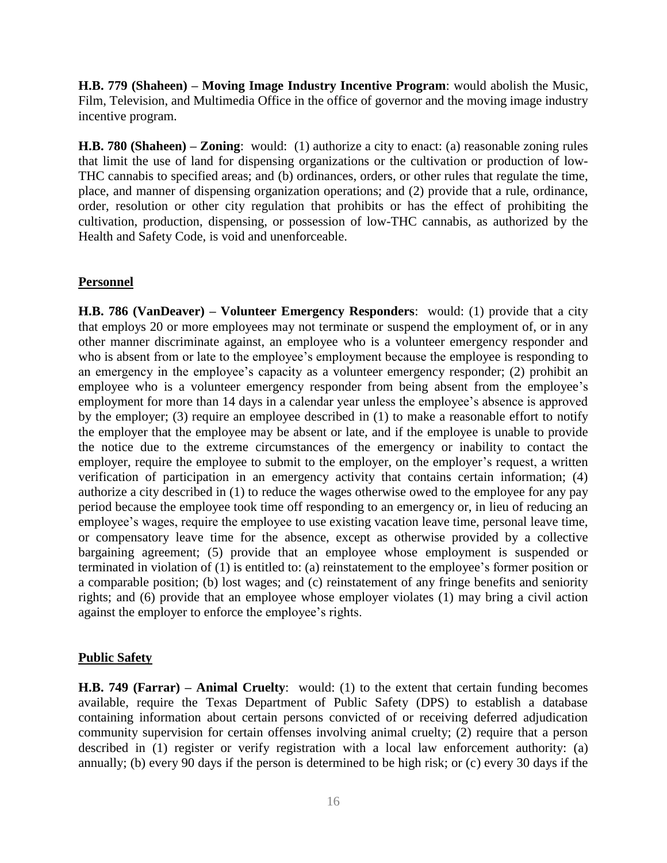**H.B. 779 (Shaheen) – Moving Image Industry Incentive Program**: would abolish the Music, Film, Television, and Multimedia Office in the office of governor and the moving image industry incentive program.

**H.B. 780 (Shaheen) – Zoning**: would: (1) authorize a city to enact: (a) reasonable zoning rules that limit the use of land for dispensing organizations or the cultivation or production of low-THC cannabis to specified areas; and (b) ordinances, orders, or other rules that regulate the time, place, and manner of dispensing organization operations; and (2) provide that a rule, ordinance, order, resolution or other city regulation that prohibits or has the effect of prohibiting the cultivation, production, dispensing, or possession of low-THC cannabis, as authorized by the Health and Safety Code, is void and unenforceable.

## **Personnel**

**H.B. 786 (VanDeaver) – Volunteer Emergency Responders**: would: (1) provide that a city that employs 20 or more employees may not terminate or suspend the employment of, or in any other manner discriminate against, an employee who is a volunteer emergency responder and who is absent from or late to the employee's employment because the employee is responding to an emergency in the employee's capacity as a volunteer emergency responder; (2) prohibit an employee who is a volunteer emergency responder from being absent from the employee's employment for more than 14 days in a calendar year unless the employee's absence is approved by the employer; (3) require an employee described in (1) to make a reasonable effort to notify the employer that the employee may be absent or late, and if the employee is unable to provide the notice due to the extreme circumstances of the emergency or inability to contact the employer, require the employee to submit to the employer, on the employer's request, a written verification of participation in an emergency activity that contains certain information; (4) authorize a city described in (1) to reduce the wages otherwise owed to the employee for any pay period because the employee took time off responding to an emergency or, in lieu of reducing an employee's wages, require the employee to use existing vacation leave time, personal leave time, or compensatory leave time for the absence, except as otherwise provided by a collective bargaining agreement; (5) provide that an employee whose employment is suspended or terminated in violation of (1) is entitled to: (a) reinstatement to the employee's former position or a comparable position; (b) lost wages; and (c) reinstatement of any fringe benefits and seniority rights; and (6) provide that an employee whose employer violates (1) may bring a civil action against the employer to enforce the employee's rights.

## **Public Safety**

**H.B. 749 (Farrar) – Animal Cruelty**: would: (1) to the extent that certain funding becomes available, require the Texas Department of Public Safety (DPS) to establish a database containing information about certain persons convicted of or receiving deferred adjudication community supervision for certain offenses involving animal cruelty; (2) require that a person described in (1) register or verify registration with a local law enforcement authority: (a) annually; (b) every 90 days if the person is determined to be high risk; or (c) every 30 days if the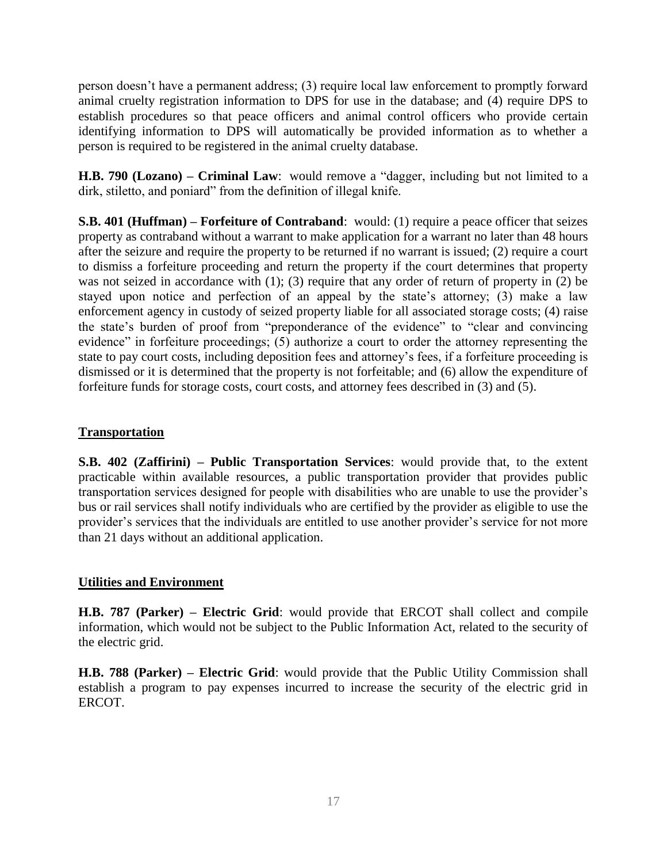person doesn't have a permanent address; (3) require local law enforcement to promptly forward animal cruelty registration information to DPS for use in the database; and (4) require DPS to establish procedures so that peace officers and animal control officers who provide certain identifying information to DPS will automatically be provided information as to whether a person is required to be registered in the animal cruelty database.

**H.B. 790 (Lozano) – Criminal Law**: would remove a "dagger, including but not limited to a dirk, stiletto, and poniard" from the definition of illegal knife.

**S.B. 401 (Huffman) – Forfeiture of Contraband**: would: (1) require a peace officer that seizes property as contraband without a warrant to make application for a warrant no later than 48 hours after the seizure and require the property to be returned if no warrant is issued; (2) require a court to dismiss a forfeiture proceeding and return the property if the court determines that property was not seized in accordance with (1); (3) require that any order of return of property in (2) be stayed upon notice and perfection of an appeal by the state's attorney; (3) make a law enforcement agency in custody of seized property liable for all associated storage costs; (4) raise the state's burden of proof from "preponderance of the evidence" to "clear and convincing evidence" in forfeiture proceedings; (5) authorize a court to order the attorney representing the state to pay court costs, including deposition fees and attorney's fees, if a forfeiture proceeding is dismissed or it is determined that the property is not forfeitable; and (6) allow the expenditure of forfeiture funds for storage costs, court costs, and attorney fees described in (3) and (5).

## **Transportation**

**S.B. 402 (Zaffirini) – Public Transportation Services**: would provide that, to the extent practicable within available resources, a public transportation provider that provides public transportation services designed for people with disabilities who are unable to use the provider's bus or rail services shall notify individuals who are certified by the provider as eligible to use the provider's services that the individuals are entitled to use another provider's service for not more than 21 days without an additional application.

## **Utilities and Environment**

**H.B. 787 (Parker) – Electric Grid**: would provide that ERCOT shall collect and compile information, which would not be subject to the Public Information Act, related to the security of the electric grid.

**H.B. 788 (Parker) – Electric Grid**: would provide that the Public Utility Commission shall establish a program to pay expenses incurred to increase the security of the electric grid in ERCOT.